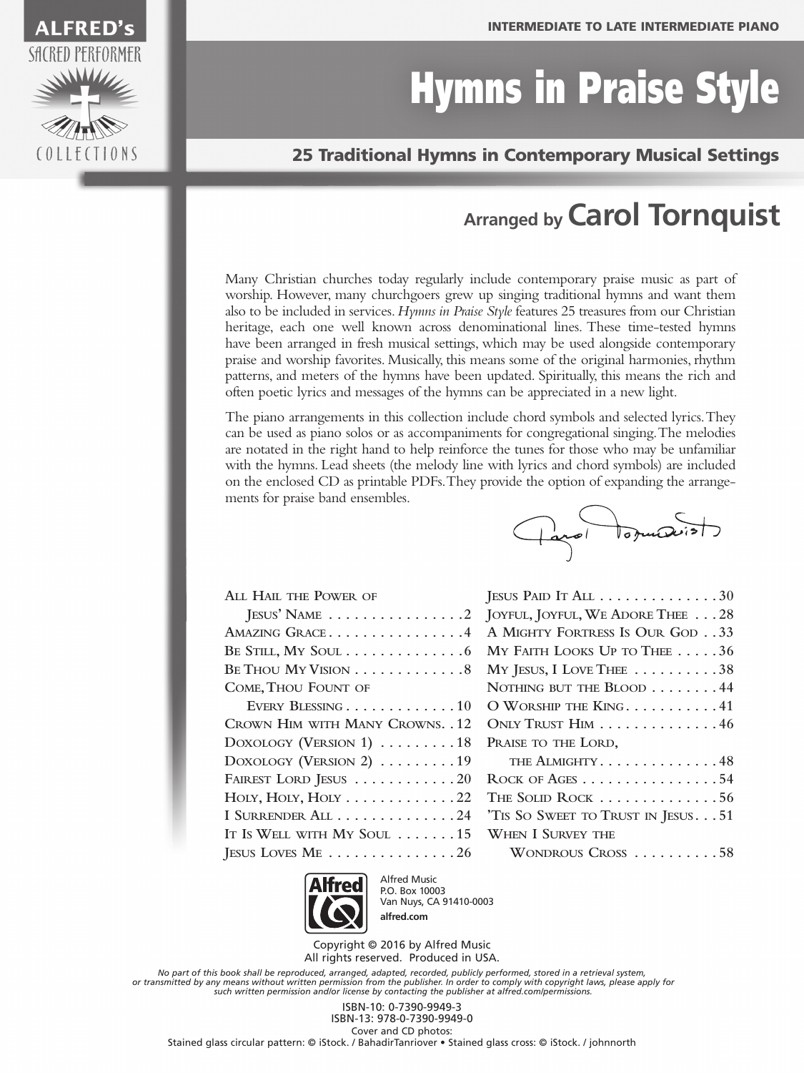# Hymns in Praise Style

#### 25 Traditional Hymns in Contemporary Musical Settings

#### **Arranged by Carol Tornquist**

Many Christian churches today regularly include contemporary praise music as part of worship. However, many churchgoers grew up singing traditional hymns and want them also to be included in services. *Hymns in Praise Style* features 25 treasures from our Christian heritage, each one well known across denominational lines. These time-tested hymns have been arranged in fresh musical settings, which may be used alongside contemporary praise and worship favorites. Musically, this means some of the original harmonies, rhythm patterns, and meters of the hymns have been updated. Spiritually, this means the rich and often poetic lyrics and messages of the hymns can be appreciated in a new light.

The piano arrangements in this collection include chord symbols and selected lyrics. They can be used as piano solos or as accompaniments for congregational singing. The melodies are notated in the right hand to help reinforce the tunes for those who may be unfamiliar with the hymns. Lead sheets (the melody line with lyrics and chord symbols) are included on the enclosed CD as printable PDFs. They provide the option of expanding the arrangements for praise band ensembles.

| ALL HAIL THE POWER OF                              |
|----------------------------------------------------|
| JESUS' NAME $\ldots \ldots \ldots \ldots \ldots 2$ |
| AMAZING GRACE4                                     |
| BE STILL, MY SOUL 6                                |
| BE THOU MY VISION 8                                |
| COME, THOU FOUNT OF                                |
| EVERY BLESSING 10                                  |
| CROWN HIM WITH MANY CROWNS. . 12                   |
| DOXOLOGY (VERSION 1) $\ldots \ldots \ldots$ 18     |
| DOXOLOGY (VERSION 2) $\ldots \ldots \ldots$ . 19   |
| FAIREST LORD JESUS 20                              |
| HOLY, HOLY, HOLY $\dots\dots\dots\dots 22$         |
| I SURRENDER ALL 24                                 |
| IT IS WELL WITH MY SOUL  15                        |
| JESUS LOVES $ME$ 26                                |

| JESUS PAID IT ALL $\ldots \ldots \ldots \ldots 30$     |
|--------------------------------------------------------|
| JOYFUL, JOYFUL, WE ADORE THEE 28                       |
| A MIGHTY FORTRESS IS OUR GOD 33                        |
| MY FAITH LOOKS UP TO THEE $\ldots$ .36                 |
| My JESUS, I LOVE THEE $\ldots \ldots \ldots 38$        |
| NOTHING BUT THE BLOOD 44                               |
| O WORSHIP THE KING. 41                                 |
| ONLY TRUST HIM 46                                      |
| PRAISE TO THE LORD,                                    |
| THE ALMIGHTY. 48                                       |
| ROCK OF AGES $\dots\dots\dots\dots\dots\dots54$        |
| THE SOLID ROCK $\ldots \ldots \ldots \ldots \ldots 56$ |
| 'TIS SO SWEET TO TRUST IN JESUS51                      |
| <b>WHEN I SURVEY THE</b>                               |
| WONDROUS CROSS 58                                      |

d'odruise



Alfred Music P.O. Box 10003 Van Nuys, CA 91410-0003 **alfred.com**

Copyright © 2016 by Alfred Music All rights reserved. Produced in USA.

*No part of this book shall be reproduced, arranged, adapted, recorded, publicly performed, stored in a retrieval system,* or transmitted by any means without written permission from the publisher. In order to comply with copyright laws, please apply for<br>such written permission and/or license by contacting the publisher at alfred.com/permissio

ISBN-10: 0-7390-9949-3 ISBN-13: 978-0-7390-9949-0 Cover and CD photos: Stained glass circular pattern: © iStock. / BahadirTanriover • Stained glass cross: © iStock. / johnnorth

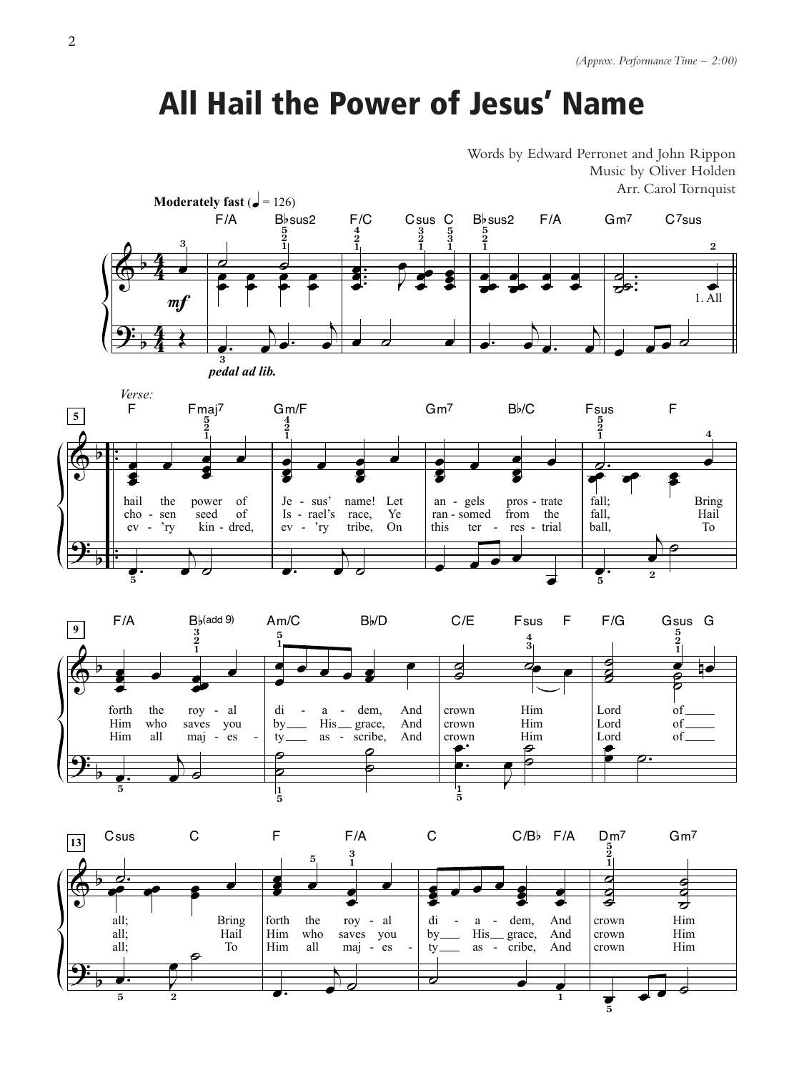#### **All Hail the Power of Jesus' Name**

Words by Edward Perronet and John Rippon Music by Oliver Holden Arr. Carol Tornquist





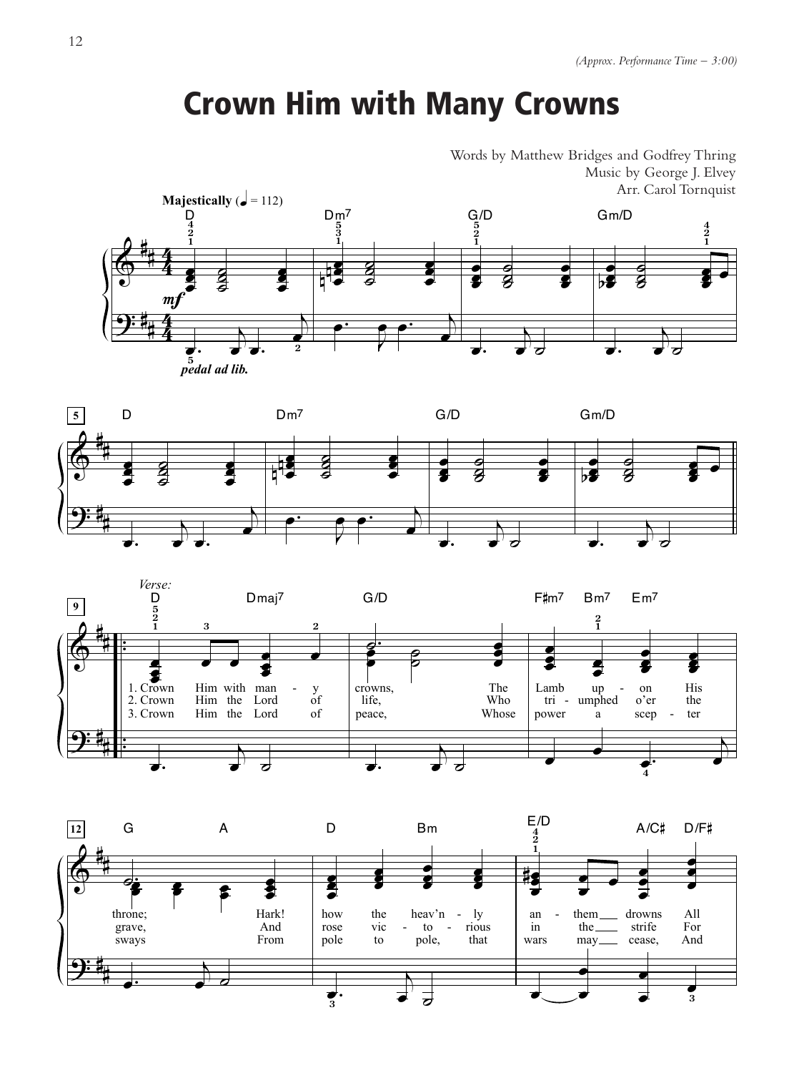### Crown Him with Many Crowns

Words by Matthew Bridges and Godfrey Thring Music by George J. Elvey Arr. Carol Tornquist







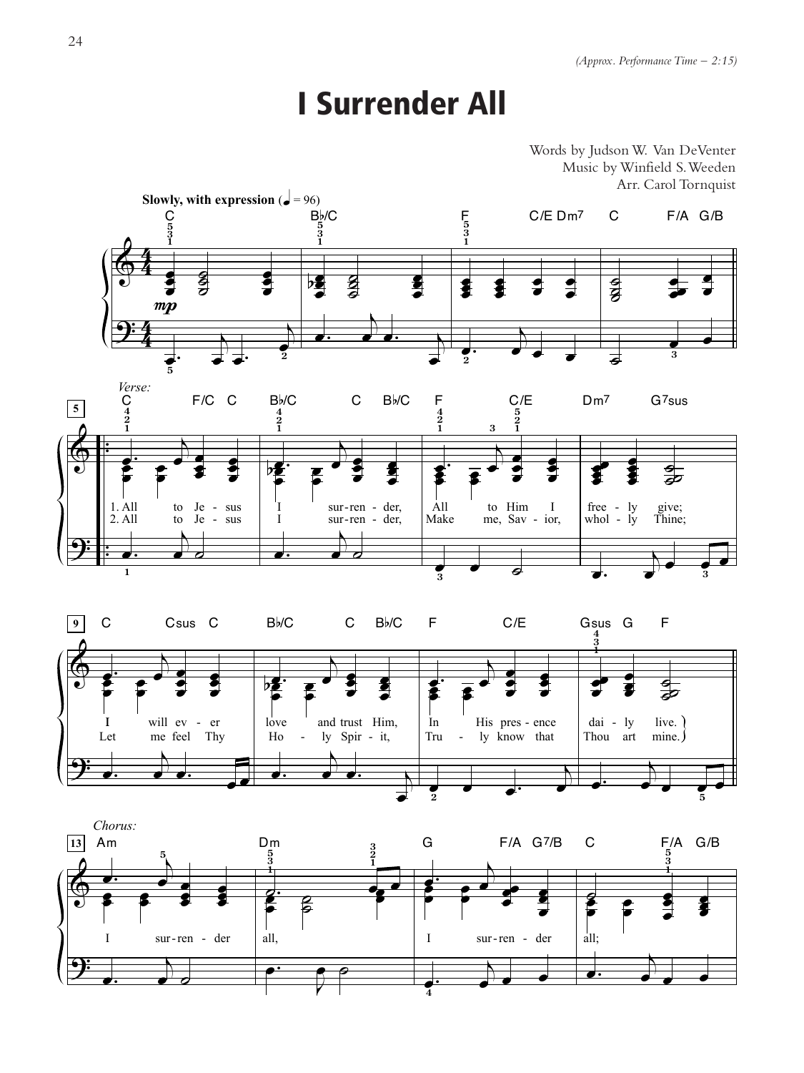#### **I Surrender All**

Words by Judson W. Van DeVenter Music by Winfield S. Weeden Arr. Carol Tornquist